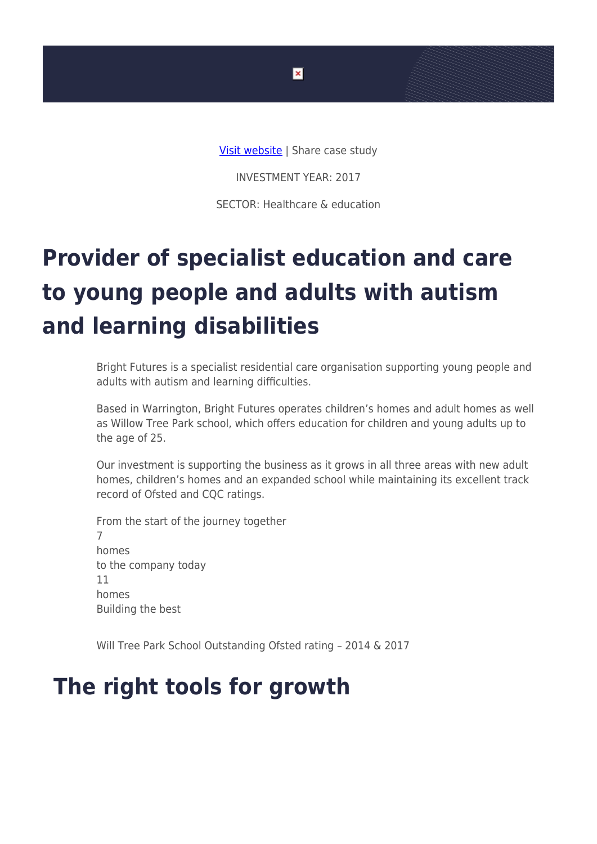

INVESTMENT YEAR: 2017

SECTOR: Healthcare & education

## **Provider of specialist education and care to young people and adults with autism and learning disabilities**

Bright Futures is a specialist residential care organisation supporting young people and adults with autism and learning difficulties.

Based in Warrington, Bright Futures operates children's homes and adult homes as well as Willow Tree Park school, which offers education for children and young adults up to the age of 25.

Our investment is supporting the business as it grows in all three areas with new adult homes, children's homes and an expanded school while maintaining its excellent track record of Ofsted and CQC ratings.

From the start of the journey together 7 homes to the company today 11 homes Building the best

Will Tree Park School Outstanding Ofsted rating – 2014 & 2017

## **The right tools for growth**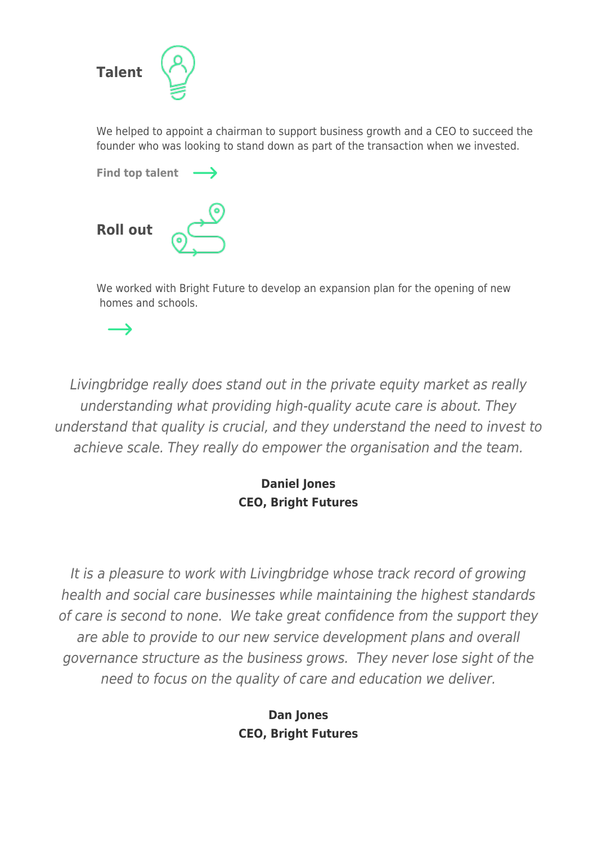

We helped to appoint a chairman to support business growth and a CEO to succeed the founder who was looking to stand down as part of the transaction when we invested.



 $\rightarrow$ 

We worked with Bright Future to develop an expansion plan for the opening of new homes and schools.

Livingbridge really does stand out in the private equity market as really understanding what providing high-quality acute care is about. They understand that quality is crucial, and they understand the need to invest to achieve scale. They really do empower the organisation and the team.

## **Daniel Jones CEO, Bright Futures**

It is a pleasure to work with Livingbridge whose track record of growing health and social care businesses while maintaining the highest standards of care is second to none. We take great confidence from the support they are able to provide to our new service development plans and overall governance structure as the business grows. They never lose sight of the need to focus on the quality of care and education we deliver.

> **Dan Jones CEO, Bright Futures**